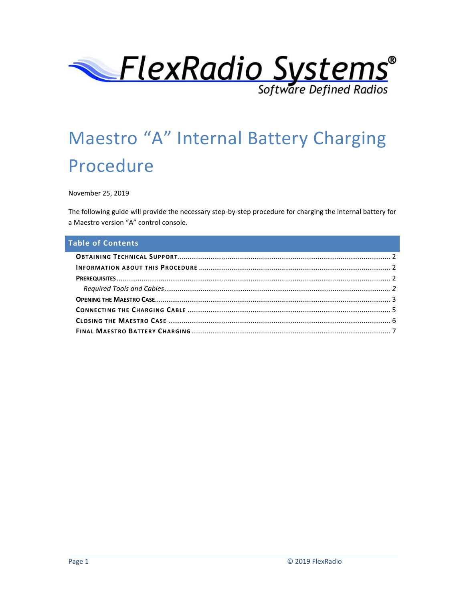

# Maestro "A" Internal Battery Charging Procedure

November 25, 2019

The following guide will provide the necessary step-by-step procedure for charging the internal battery for a Maestro version "A" control console.

## **Table of Contents**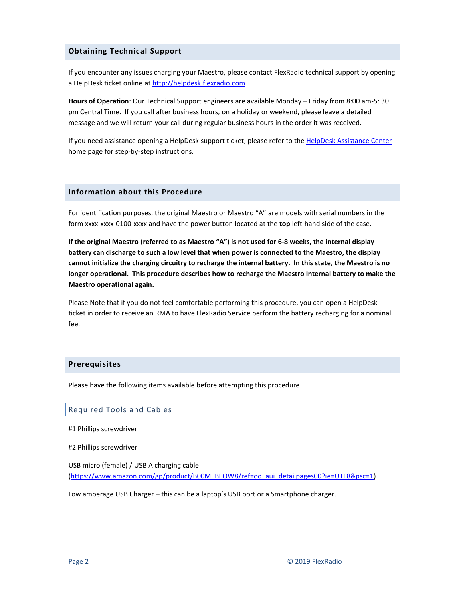#### <span id="page-1-0"></span>**Obtaining Technical Support**

If you encounter any issues charging your Maestro, please contact FlexRadio technical support by opening a HelpDesk ticket online a[t http://helpdesk.flexradio.com](http://helpdesk.flexradio.com/)

**Hours of Operation**: Our Technical Support engineers are available Monday – Friday from 8:00 am-5: 30 pm Central Time. If you call after business hours, on a holiday or weekend, please leave a detailed message and we will return your call during regular business hours in the order it was received.

If you need assistance opening a HelpDesk support ticket, please refer to th[e HelpDesk Assistance Center](http://helpdesk.flexradio.com/hc/en-us) home page for step-by-step instructions.

#### <span id="page-1-1"></span>**Information about this Procedure**

For identification purposes, the original Maestro or Maestro "A" are models with serial numbers in the form xxxx-xxxx-0100-xxxx and have the power button located at the **top** left-hand side of the case.

**If the original Maestro (referred to as Maestro "A") is not used for 6-8 weeks, the internal display battery can discharge to such a low level that when power is connected to the Maestro, the display cannot initialize the charging circuitry to recharge the internal battery. In this state, the Maestro is no longer operational. This procedure describes how to recharge the Maestro Internal battery to make the Maestro operational again.**

Please Note that if you do not feel comfortable performing this procedure, you can open a HelpDesk ticket in order to receive an RMA to have FlexRadio Service perform the battery recharging for a nominal fee.

#### <span id="page-1-2"></span>**Prerequisites**

Please have the following items available before attempting this procedure

#### <span id="page-1-3"></span>Required Tools and Cables

- #1 Phillips screwdriver
- #2 Phillips screwdriver

USB micro (female) / USB A charging cable [\(https://www.amazon.com/gp/product/B00MEBEOW8/ref=od\\_aui\\_detailpages00?ie=UTF8&psc=1\)](https://www.amazon.com/gp/product/B00MEBEOW8/ref=od_aui_detailpages00?ie=UTF8&psc=1)

Low amperage USB Charger – this can be a laptop's USB port or a Smartphone charger.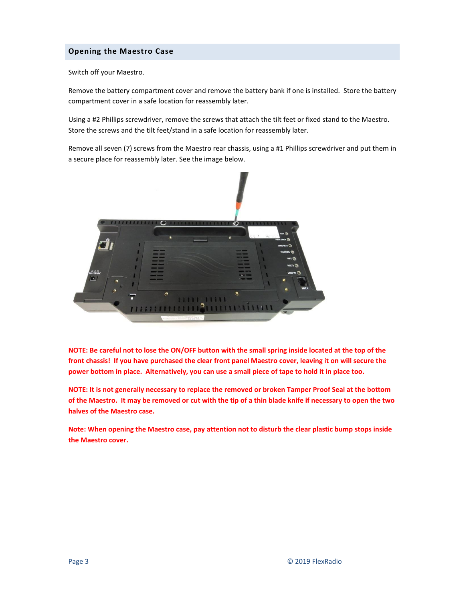## <span id="page-2-0"></span>**Opening the Maestro Case**

Switch off your Maestro.

Remove the battery compartment cover and remove the battery bank if one is installed. Store the battery compartment cover in a safe location for reassembly later.

Using a #2 Phillips screwdriver, remove the screws that attach the tilt feet or fixed stand to the Maestro. Store the screws and the tilt feet/stand in a safe location for reassembly later.

Remove all seven (7) screws from the Maestro rear chassis, using a #1 Phillips screwdriver and put them in a secure place for reassembly later. See the image below.



**NOTE: Be careful not to lose the ON/OFF button with the small spring inside located at the top of the front chassis! If you have purchased the clear front panel Maestro cover, leaving it on will secure the power bottom in place. Alternatively, you can use a small piece of tape to hold it in place too.**

**NOTE: It is not generally necessary to replace the removed or broken Tamper Proof Seal at the bottom of the Maestro. It may be removed or cut with the tip of a thin blade knife if necessary to open the two halves of the Maestro case.**

**Note: When opening the Maestro case, pay attention not to disturb the clear plastic bump stops inside the Maestro cover.**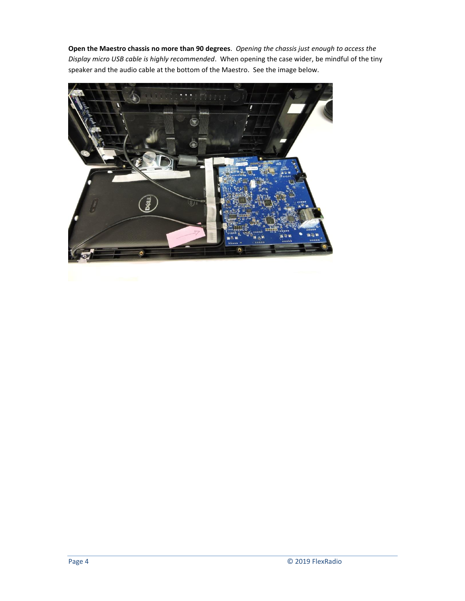**Open the Maestro chassis no more than 90 degrees**. *Opening the chassis just enough to access the Display micro USB cable is highly recommended*. When opening the case wider, be mindful of the tiny speaker and the audio cable at the bottom of the Maestro. See the image below.

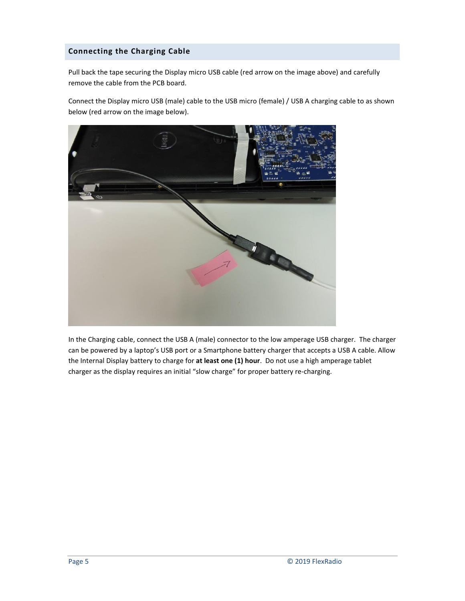# <span id="page-4-0"></span>**Connecting the Charging Cable**

Pull back the tape securing the Display micro USB cable (red arrow on the image above) and carefully remove the cable from the PCB board.

Connect the Display micro USB (male) cable to the USB micro (female) / USB A charging cable to as shown below (red arrow on the image below).



In the Charging cable, connect the USB A (male) connector to the low amperage USB charger. The charger can be powered by a laptop's USB port or a Smartphone battery charger that accepts a USB A cable. Allow the Internal Display battery to charge for **at least one (1) hour**. Do not use a high amperage tablet charger as the display requires an initial "slow charge" for proper battery re-charging.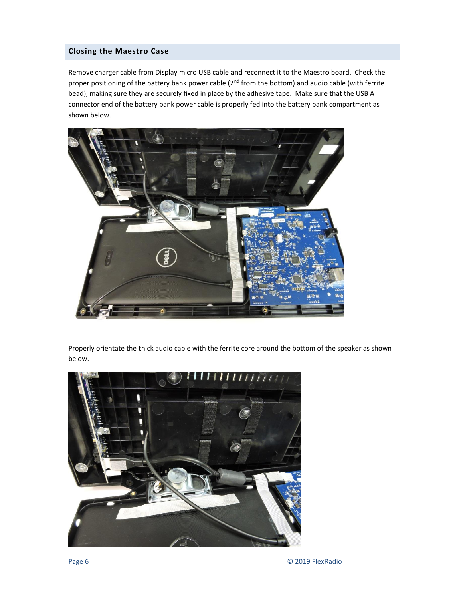## <span id="page-5-0"></span>**Closing the Maestro Case**

Remove charger cable from Display micro USB cable and reconnect it to the Maestro board. Check the proper positioning of the battery bank power cable (2<sup>nd</sup> from the bottom) and audio cable (with ferrite bead), making sure they are securely fixed in place by the adhesive tape. Make sure that the USB A connector end of the battery bank power cable is properly fed into the battery bank compartment as shown below.



Properly orientate the thick audio cable with the ferrite core around the bottom of the speaker as shown below.